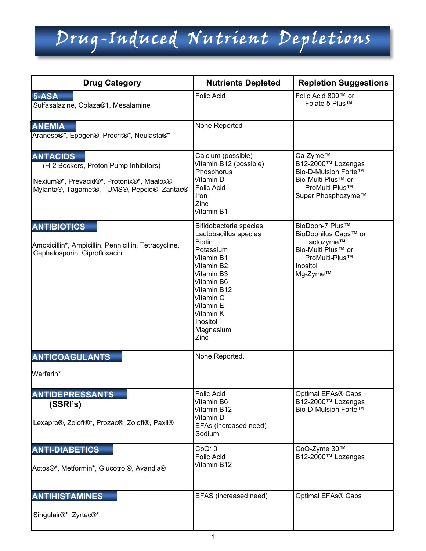| <b>Drug Category</b>                                                                                                                                  | <b>Nutrients Depleted</b>                                                                                                                                                                                                    | <b>Repletion Suggestions</b>                                                                                          |
|-------------------------------------------------------------------------------------------------------------------------------------------------------|------------------------------------------------------------------------------------------------------------------------------------------------------------------------------------------------------------------------------|-----------------------------------------------------------------------------------------------------------------------|
| 5-ASA<br>Sulfasalazine, Colaza®1, Mesalamine                                                                                                          | <b>Folic Acid</b>                                                                                                                                                                                                            | Folic Acid 800™ or<br>Folate 5 Plus™                                                                                  |
| <b>ANEMIA</b><br>Aranesp®*, Epogen®, Procrit®*, Neulasta®*                                                                                            | None Reported                                                                                                                                                                                                                |                                                                                                                       |
| <b>ANTACIDS</b><br>(H-2 Bockers, Proton Pump Inhibitors)<br>Nexium®*, Prevacid®*, Protonix®*, Maalox®,<br>Mylanta®, Tagamet®, TUMS®, Pepcid®, Zantac® | Calcium (possible)<br>Vitamin B12 (possible)<br>Phosphorus<br>Vitamin D<br><b>Folic Acid</b><br>Iron<br>Zinc<br>Vitamin B1                                                                                                   | Ca-Zyme™<br>B12-2000™ Lozenges<br>Bio-D-Mulsion Forte™<br>Bio-Multi Plus™ or<br>ProMulti-Plus™<br>Super Phosphozyme™  |
| <b>ANTIBIOTICS</b><br>Amoxicillin*, Ampicillin, Pennicillin, Tetracycline,<br>Cephalosporin, Ciprofloxacin                                            | Bifidobacteria species<br>Lactobacillus species<br><b>Biotin</b><br>Potassium<br>Vitamin B1<br>Vitamin B2<br>Vitamin B3<br>Vitamin B6<br>Vitamin B12<br>Vitamin C<br>Vitamin E<br>Vitamin K<br>Inositol<br>Magnesium<br>Zinc | BioDoph-7 Plus™<br>BioDophilus Caps™ or<br>Lactozyme™<br>Bio-Multi Plus™ or<br>ProMulti-Plus™<br>Inositol<br>Mg-Zyme™ |
| <b>ANTICOAGULANTS</b>                                                                                                                                 | None Reported.                                                                                                                                                                                                               |                                                                                                                       |
| Warfarin*                                                                                                                                             |                                                                                                                                                                                                                              |                                                                                                                       |
| <b>ANTIDEPRESSANTS</b><br>(SSRI's)<br>Lexapro®, Zoloft®*, Prozac®, Zoloft®, Paxil®                                                                    | <b>Folic Acid</b><br>Vitamin B6<br>Vitamin B12<br>Vitamin D<br>EFAs (increased need)                                                                                                                                         | Optimal EFAs® Caps<br>B12-2000™ Lozenges<br>Bio-D-Mulsion Forte™                                                      |
|                                                                                                                                                       | Sodium                                                                                                                                                                                                                       |                                                                                                                       |
| <b>ANTI-DIABETICS</b><br>Actos®*, Metformin*, Glucotrol®, Avandia®                                                                                    | CoQ10<br><b>Folic Acid</b><br>Vitamin B12                                                                                                                                                                                    | CoQ-Zyme 30™<br>B12-2000™ Lozenges                                                                                    |
| <b>ANTIHISTAMINES</b>                                                                                                                                 | EFAS (increased need)                                                                                                                                                                                                        | Optimal EFAs® Caps                                                                                                    |
| Singulair®*, Zyrtec®*                                                                                                                                 |                                                                                                                                                                                                                              |                                                                                                                       |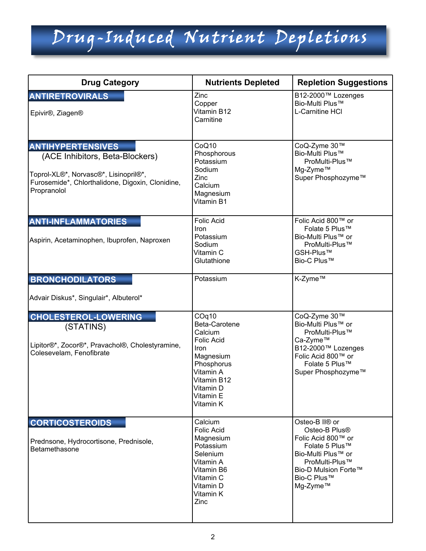| <b>Drug Category</b>                                                                                                                                                    | <b>Nutrients Depleted</b>                                                                                                                                           | <b>Repletion Suggestions</b>                                                                                                                                                               |
|-------------------------------------------------------------------------------------------------------------------------------------------------------------------------|---------------------------------------------------------------------------------------------------------------------------------------------------------------------|--------------------------------------------------------------------------------------------------------------------------------------------------------------------------------------------|
| <b>ANTIRETROVIRALS</b><br>Epivir <sup>®</sup> , Ziagen <sup>®</sup>                                                                                                     | Zinc<br>Copper<br>Vitamin B12<br>Carnitine                                                                                                                          | B12-2000™ Lozenges<br>Bio-Multi Plus™<br>L-Carnitine HCI                                                                                                                                   |
| <b>ANTIHYPERTENSIVES</b><br>(ACE Inhibitors, Beta-Blockers)<br>Toprol-XL®*, Norvasc®*, Lisinopril®*,<br>Furosemide*, Chlorthalidone, Digoxin, Clonidine,<br>Propranolol | CoQ10<br>Phosphorous<br>Potassium<br>Sodium<br>Zinc<br>Calcium<br>Magnesium<br>Vitamin B1                                                                           | CoQ-Zyme 30™<br>Bio-Multi Plus™<br>ProMulti-Plus™<br>Mg-Zyme™<br>Super Phosphozyme™                                                                                                        |
| <b>ANTI-INFLAMMATORIES</b><br>Aspirin, Acetaminophen, Ibuprofen, Naproxen                                                                                               | <b>Folic Acid</b><br>Iron<br>Potassium<br>Sodium<br>Vitamin C<br>Glutathione                                                                                        | Folic Acid 800™ or<br>Folate 5 Plus™<br>Bio-Multi Plus™ or<br>ProMulti-Plus™<br>GSH-Plus™<br>Bio-C Plus™                                                                                   |
| <b>BRONCHODILATORS</b><br>Advair Diskus*, Singulair*, Albuterol*                                                                                                        | Potassium                                                                                                                                                           | K-Zyme™                                                                                                                                                                                    |
| <b>CHOLESTEROL-LOWERING</b><br>(STATINS)<br>Lipitor®*, Zocor®*, Pravachol®, Cholestyramine,<br>Colesevelam, Fenofibrate                                                 | COq10<br>Beta-Carotene<br>Calcium<br><b>Folic Acid</b><br><b>Iron</b><br>Magnesium<br>Phosphorus<br>Vitamin A<br>Vitamin B12<br>Vitamin D<br>Vitamin E<br>Vitamin K | CoQ-Zyme 30™<br>Bio-Multi Plus™ or<br>ProMulti-Plus™<br>Ca-Zyme™<br>B12-2000™ Lozenges<br>Folic Acid 800™ or<br>Folate 5 Plus™<br>Super Phosphozyme™                                       |
| <b>CORTICOSTEROIDS</b><br>Prednsone, Hydrocortisone, Prednisole,<br>Betamethasone                                                                                       | Calcium<br><b>Folic Acid</b><br>Magnesium<br>Potassium<br>Selenium<br>Vitamin A<br>Vitamin B6<br>Vitamin C<br>Vitamin D<br>Vitamin K<br>Zinc                        | Osteo-B II <sup>®</sup> or<br>Osteo-B Plus <sup>®</sup><br>Folic Acid 800™ or<br>Folate 5 Plus™<br>Bio-Multi Plus™ or<br>ProMulti-Plus™<br>Bio-D Mulsion Forte™<br>Bio-C Plus™<br>Mg-Zyme™ |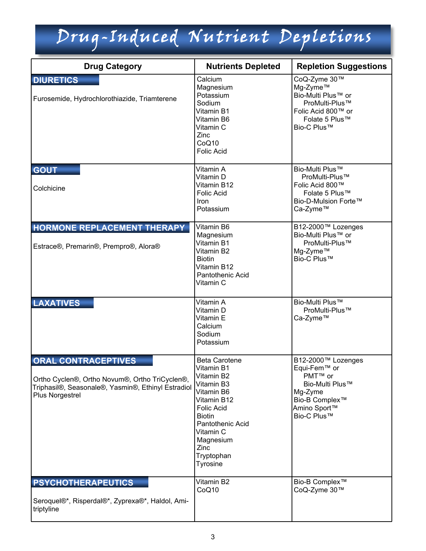| <b>Drug Category</b>                                                                                                                                  | <b>Nutrients Depleted</b>                                                                                                                                                                                         | <b>Repletion Suggestions</b>                                                                                                                         |
|-------------------------------------------------------------------------------------------------------------------------------------------------------|-------------------------------------------------------------------------------------------------------------------------------------------------------------------------------------------------------------------|------------------------------------------------------------------------------------------------------------------------------------------------------|
| <b>DIURETICS</b><br>Furosemide, Hydrochlorothiazide, Triamterene                                                                                      | Calcium<br>Magnesium<br>Potassium<br>Sodium<br>Vitamin B1<br>Vitamin B6<br>Vitamin C<br>Zinc<br>CoQ10<br><b>Folic Acid</b>                                                                                        | CoQ-Zyme 30™<br>Mg-Zyme™<br>Bio-Multi Plus™ or<br>ProMulti-Plus™<br>Folic Acid 800™ or<br>Folate 5 Plus™<br>Bio-C Plus™                              |
| <b>GOUT</b><br>Colchicine                                                                                                                             | Vitamin A<br>Vitamin D<br>Vitamin B12<br><b>Folic Acid</b><br>Iron<br>Potassium                                                                                                                                   | Bio-Multi Plus™<br>ProMulti-Plus™<br>Folic Acid 800™<br>Folate 5 Plus™<br>Bio-D-Mulsion Forte™<br>Ca-Zyme™                                           |
| HORMONE REPLACEMENT THERAPY<br>Estrace®, Premarin®, Prempro®, Alora®                                                                                  | Vitamin B6<br>Magnesium<br>Vitamin B1<br>Vitamin B2<br><b>Biotin</b><br>Vitamin B12<br>Pantothenic Acid<br>Vitamin C                                                                                              | B12-2000™ Lozenges<br>Bio-Multi Plus™ or<br>ProMulti-Plus™<br>Mg-Zyme™<br>Bio-C Plus™                                                                |
| <b>LAXATIVES</b>                                                                                                                                      | Vitamin A<br>Vitamin D<br>Vitamin E<br>Calcium<br>Sodium<br>Potassium                                                                                                                                             | Bio-Multi Plus™<br>ProMulti-Plus™<br>Ca-Zyme™                                                                                                        |
| <b>ORAL CONTRACEPTIVES</b><br>Ortho Cyclen®, Ortho Novum®, Ortho TriCyclen®,<br>Triphasil®, Seasonale®, Yasmin®, Ethinyl Estradiol<br>Plus Norgestrel | <b>Beta Carotene</b><br>Vitamin B1<br>Vitamin B2<br>Vitamin B3<br>Vitamin B6<br>Vitamin B12<br><b>Folic Acid</b><br><b>Biotin</b><br>Pantothenic Acid<br>Vitamin C<br>Magnesium<br>Zinc<br>Tryptophan<br>Tyrosine | B12-2000™ Lozenges<br>Equi-Fem™ or<br>PMT <sup>™</sup> or<br>Bio-Multi Plus™<br>Mg-Zyme<br>Bio-B Complex <sup>™</sup><br>Amino Sport™<br>Bio-C Plus™ |
| <b>PSYCHOTHERAPEUTICS</b><br>Seroquel®*, Risperdal®*, Zyprexa®*, Haldol, Ami-<br>triptyline                                                           | Vitamin B2<br>CoQ10                                                                                                                                                                                               | Bio-B Complex <sup>™</sup><br>CoQ-Zyme 30™                                                                                                           |